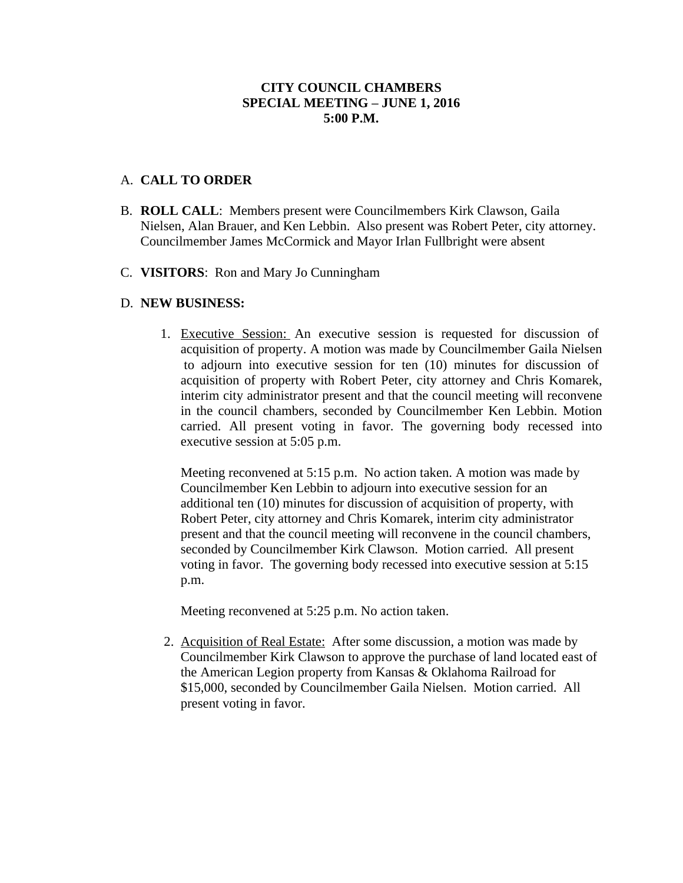## **CITY COUNCIL CHAMBERS SPECIAL MEETING – JUNE 1, 2016 5:00 P.M.**

## A. **CALL TO ORDER**

- B. **ROLL CALL**: Members present were Councilmembers Kirk Clawson, Gaila Nielsen, Alan Brauer, and Ken Lebbin. Also present was Robert Peter, city attorney. Councilmember James McCormick and Mayor Irlan Fullbright were absent
- C. **VISITORS**: Ron and Mary Jo Cunningham

## D. **NEW BUSINESS:**

1. Executive Session: An executive session is requested for discussion of acquisition of property. A motion was made by Councilmember Gaila Nielsen to adjourn into executive session for ten (10) minutes for discussion of acquisition of property with Robert Peter, city attorney and Chris Komarek, interim city administrator present and that the council meeting will reconvene in the council chambers, seconded by Councilmember Ken Lebbin. Motion carried. All present voting in favor. The governing body recessed into executive session at 5:05 p.m.

Meeting reconvened at 5:15 p.m. No action taken. A motion was made by Councilmember Ken Lebbin to adjourn into executive session for an additional ten (10) minutes for discussion of acquisition of property, with Robert Peter, city attorney and Chris Komarek, interim city administrator present and that the council meeting will reconvene in the council chambers, seconded by Councilmember Kirk Clawson. Motion carried. All present voting in favor. The governing body recessed into executive session at 5:15 p.m.

Meeting reconvened at 5:25 p.m. No action taken.

2. Acquisition of Real Estate: After some discussion, a motion was made by Councilmember Kirk Clawson to approve the purchase of land located east of the American Legion property from Kansas & Oklahoma Railroad for \$15,000, seconded by Councilmember Gaila Nielsen. Motion carried. All present voting in favor.